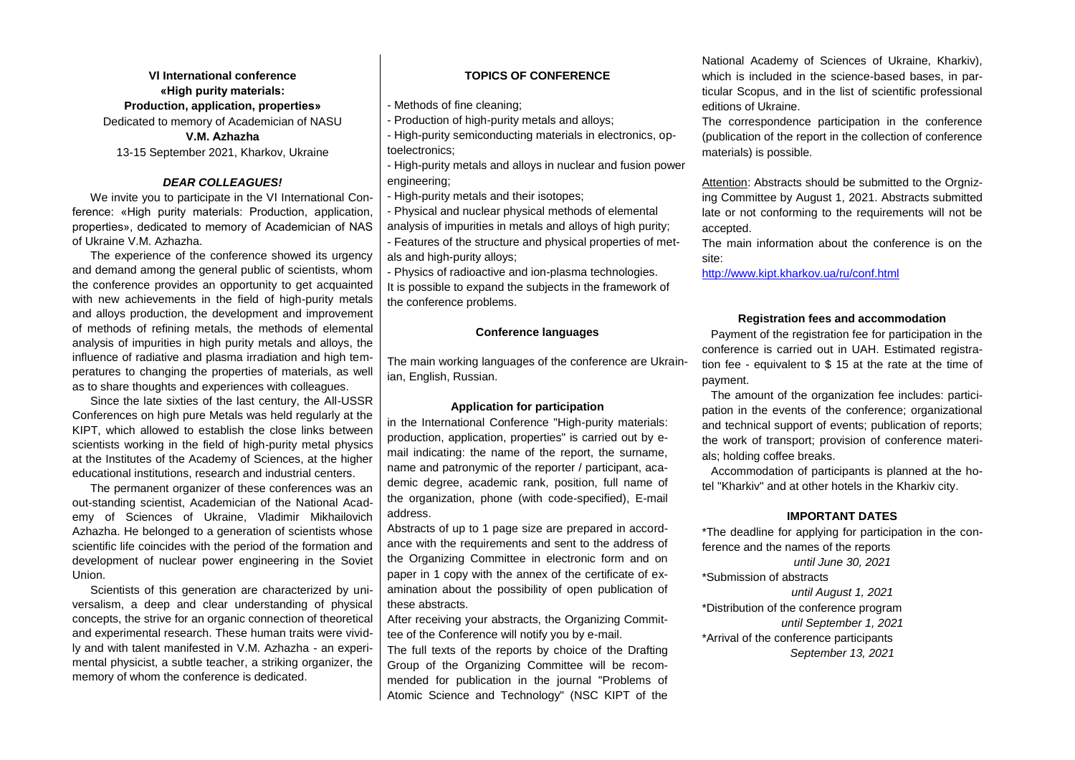**VІ International conference «High purity materials: Production, application, properties»** Dedicated to memory of Academician of NASU **V.M. Аzhazha** 13-15 September 2021, Kharkov, Ukraine

#### *DEAR COLLEAGUES!*

We invite you to participate in the VІ International Conference: «High purity materials: Production, application, properties», dedicated to memory of Academician of NAS of Ukraine V.M. Azhazha.

The experience of the conference showed its urgency and demand among the general public of scientists, whom the conference provides an opportunity to get acquainted with new achievements in the field of high-purity metals and alloys production, the development and improvement of methods of refining metals, the methods of elemental analysis of impurities in high purity metals and alloys, the influence of radiative and plasma irradiation and high temperatures to changing the properties of materials, as well as to share thoughts and experiences with colleagues.

Since the late sixties of the last century, the All-USSR Conferences on high pure Metals was held regularly at the KIPT, which allowed to establish the close links between scientists working in the field of high-purity metal physics at the Institutes of the Academy of Sciences, at the higher educational institutions, research and industrial centers.

The permanent organizer of these conferences was an out-standing scientist, Academician of the National Academy of Sciences of Ukraine, Vladimir Mikhailovich Azhazha. He belonged to a generation of scientists whose scientific life coincides with the period of the formation and development of nuclear power engineering in the Soviet Union.

Scientists of this generation are characterized by universalism, a deep and clear understanding of physical concepts, the strive for an organic connection of theoretical and experimental research. These human traits were vividly and with talent manifested in V.M. Azhazha - an experimental physicist, a subtle teacher, a striking organizer, the memory of whom the conference is dedicated.

#### **TOPICS OF CONFERENCE**

- Methods of fine cleaning;

- Production of high-purity metals and alloys;

- High-purity semiconducting materials in electronics, optoelectronics;

- High-purity metals and alloys in nuclear and fusion power engineering:

- High-purity metals and their isotopes;

- Physical and nuclear physical methods of elemental analysis of impurities in metals and alloys of high purity;

- Features of the structure and physical properties of metals and high-purity alloys;

- Physics of radioactive and ion-plasma technologies.

It is possible to expand the subjects in the framework of the conference problems.

#### **Conference languages**

The main working languages of the conference are Ukrainian, English, Russian.

#### **Application for participation**

in the International Conference "High-purity materials: production, application, properties" is carried out by email indicating: the name of the report, the surname, name and patronymic of the reporter / participant, academic degree, academic rank, position, full name of the organization, phone (with code-specified), E-mail address.

Abstracts of up to 1 page size are prepared in accordance with the requirements and sent to the address of the Organizing Committee in electronic form and on paper in 1 copy with the annex of the certificate of examination about the possibility of open publication of these abstracts.

After receiving your abstracts, the Organizing Committee of the Conference will notify you by e-mail.

The full texts of the reports by choice of the Drafting Group of the Organizing Committee will be recommended for publication in the journal "Problems of Atomic Science and Technology" (NSC KIPT of the National Academy of Sciences of Ukraine, Kharkiv), which is included in the science-based bases, in particular Scopus, and in the list of scientific professional editions of Ukraine.

The correspondence participation in the conference (publication of the report in the collection of conference materials) is possible.

Attention: Abstracts should be submitted to the Orgnizing Committee by August 1, 2021. Abstracts submitted late or not conforming to the requirements will not be accepted.

The main information about the conference is on the site:

<http://www.kipt.kharkov.ua/ru/conf.html>

#### **Registration fees and accommodation**

Payment of the registration fee for participation in the conference is carried out in UAH. Estimated registration fee - equivalent to \$ 15 at the rate at the time of payment.

The amount of the organization fee includes: participation in the events of the conference; organizational and technical support of events; publication of reports; the work of transport; provision of conference materials; holding coffee breaks.

Accommodation of participants is planned at the hotel "Kharkiv" and at other hotels in the Kharkiv city.

#### **IMPORTANT DATES**

\*The deadline for applying for participation in the conference and the names of the reports *until June 30, 2021* \*Submission of abstracts *until August 1, 2021* \*Distribution of the conference program *until September 1, 2021*

\*Arrival of the conference participants *September 13, 2021*